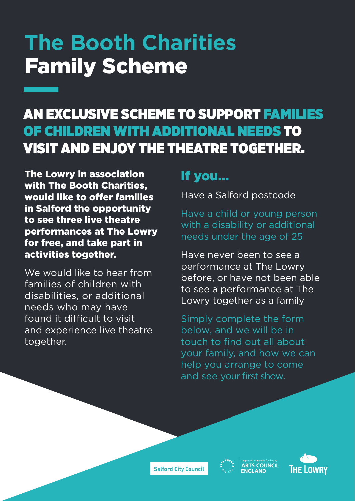# **The Booth Charities**  Family Scheme

### AN EXCLUSIVE SCHEME TO SUPPORT FAMILIES OF CHILDREN WITH ADDITIONAL NEEDS TO VISIT AND ENJOY THE THEATRE TOGETHER.

The Lowry in association with The Booth Charities, would like to offer families in Salford the opportunity to see three live theatre performances at The Lowry for free, and take part in activities together.

We would like to hear from families of children with disabilities, or additional needs who may have found it difficult to visit and experience live theatre together.

### If you…

Have a Salford postcode

Have a child or young person with a disability or additional needs under the age of 25

Have never been to see a performance at The Lowry before, or have not been able to see a performance at The Lowry together as a family

Simply complete the form below, and we will be in touch to find out all about your family, and how we can help you arrange to come and see your first show.

**Salford City Council**